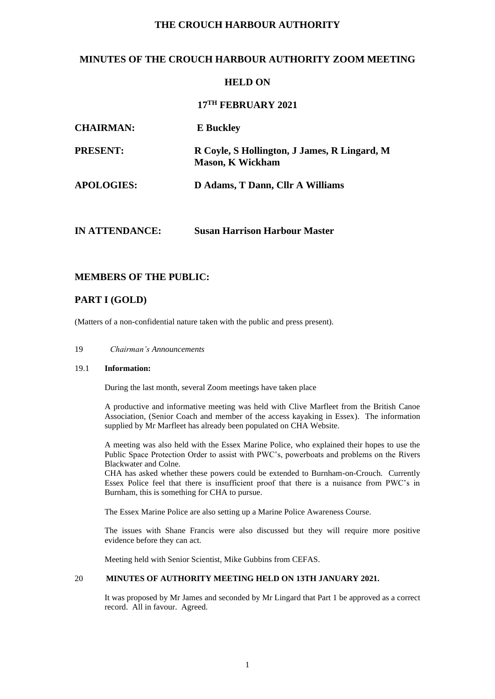### **THE CROUCH HARBOUR AUTHORITY**

## **MINUTES OF THE CROUCH HARBOUR AUTHORITY ZOOM MEETING**

### **HELD ON**

# **17 TH FEBRUARY 2021**

| <b>CHAIRMAN:</b>  | <b>E</b> Buckley                                                        |
|-------------------|-------------------------------------------------------------------------|
| <b>PRESENT:</b>   | R Coyle, S Hollington, J James, R Lingard, M<br><b>Mason, K Wickham</b> |
| <b>APOLOGIES:</b> | D Adams, T Dann, Cllr A Williams                                        |
|                   |                                                                         |

### **MEMBERS OF THE PUBLIC:**

# **PART I (GOLD)**

(Matters of a non-confidential nature taken with the public and press present).

**IN ATTENDANCE: Susan Harrison Harbour Master**

### 19 *Chairman's Announcements*

#### 19.1 **Information:**

During the last month, several Zoom meetings have taken place

A productive and informative meeting was held with Clive Marfleet from the British Canoe Association, (Senior Coach and member of the access kayaking in Essex). The information supplied by Mr Marfleet has already been populated on CHA Website.

A meeting was also held with the Essex Marine Police, who explained their hopes to use the Public Space Protection Order to assist with PWC's, powerboats and problems on the Rivers Blackwater and Colne.

CHA has asked whether these powers could be extended to Burnham-on-Crouch. Currently Essex Police feel that there is insufficient proof that there is a nuisance from PWC's in Burnham, this is something for CHA to pursue.

The Essex Marine Police are also setting up a Marine Police Awareness Course.

The issues with Shane Francis were also discussed but they will require more positive evidence before they can act.

Meeting held with Senior Scientist, Mike Gubbins from CEFAS.

## 20 **MINUTES OF AUTHORITY MEETING HELD ON 13TH JANUARY 2021.**

It was proposed by Mr James and seconded by Mr Lingard that Part 1 be approved as a correct record. All in favour. Agreed.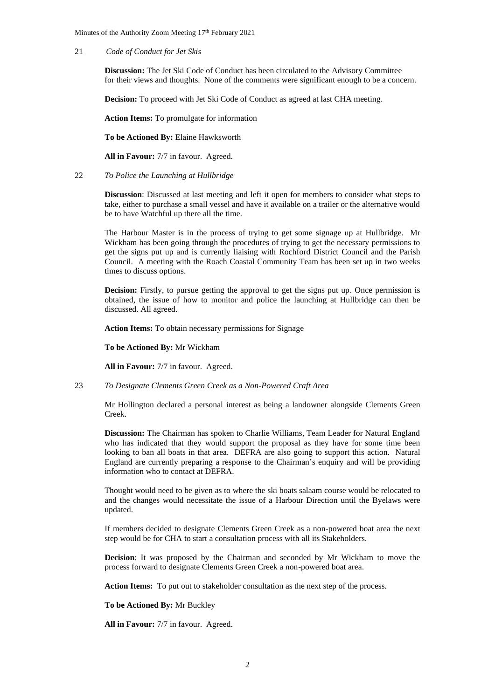Minutes of the Authority Zoom Meeting 17<sup>th</sup> February 2021

#### 21 *Code of Conduct for Jet Skis*

**Discussion:** The Jet Ski Code of Conduct has been circulated to the Advisory Committee for their views and thoughts. None of the comments were significant enough to be a concern.

**Decision:** To proceed with Jet Ski Code of Conduct as agreed at last CHA meeting.

**Action Items:** To promulgate for information

**To be Actioned By:** Elaine Hawksworth

**All in Favour:** 7/7 in favour. Agreed.

#### 22 *To Police the Launching at Hullbridge*

**Discussion**: Discussed at last meeting and left it open for members to consider what steps to take, either to purchase a small vessel and have it available on a trailer or the alternative would be to have Watchful up there all the time.

The Harbour Master is in the process of trying to get some signage up at Hullbridge. Mr Wickham has been going through the procedures of trying to get the necessary permissions to get the signs put up and is currently liaising with Rochford District Council and the Parish Council. A meeting with the Roach Coastal Community Team has been set up in two weeks times to discuss options.

**Decision:** Firstly, to pursue getting the approval to get the signs put up. Once permission is obtained, the issue of how to monitor and police the launching at Hullbridge can then be discussed. All agreed.

**Action Items:** To obtain necessary permissions for Signage

**To be Actioned By:** Mr Wickham

**All in Favour:** 7/7 in favour. Agreed.

### 23 *To Designate Clements Green Creek as a Non-Powered Craft Area*

Mr Hollington declared a personal interest as being a landowner alongside Clements Green Creek.

**Discussion:** The Chairman has spoken to Charlie Williams, Team Leader for Natural England who has indicated that they would support the proposal as they have for some time been looking to ban all boats in that area. DEFRA are also going to support this action. Natural England are currently preparing a response to the Chairman's enquiry and will be providing information who to contact at DEFRA.

Thought would need to be given as to where the ski boats salaam course would be relocated to and the changes would necessitate the issue of a Harbour Direction until the Byelaws were updated.

If members decided to designate Clements Green Creek as a non-powered boat area the next step would be for CHA to start a consultation process with all its Stakeholders.

**Decision**: It was proposed by the Chairman and seconded by Mr Wickham to move the process forward to designate Clements Green Creek a non-powered boat area.

**Action Items:** To put out to stakeholder consultation as the next step of the process.

#### **To be Actioned By:** Mr Buckley

**All in Favour:** 7/7 in favour. Agreed.